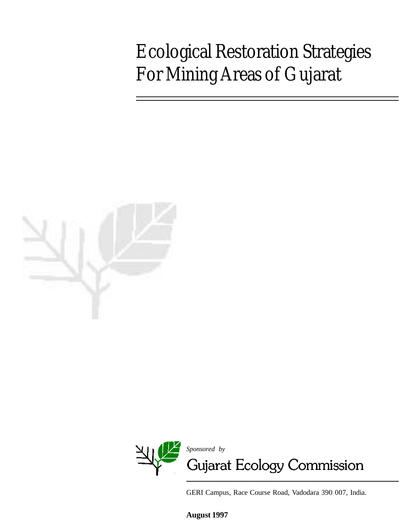Ecological Restoration Strategies For Mining Areas of Gujarat





GERI Campus, Race Course Road, Vadodara 390 007, India.

**August 1997**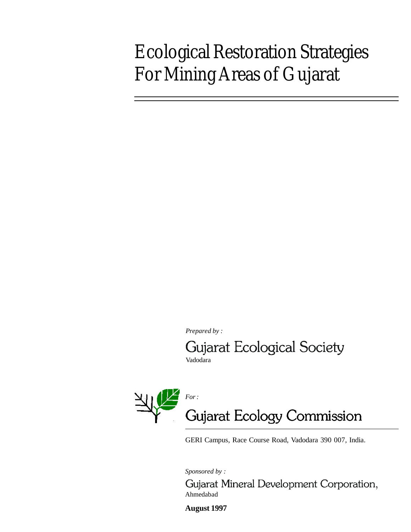# Ecological Restoration Strategies For Mining Areas of Gujarat

*Prepared by :*

Gujarat Ecological Society Vadodara



GERI Campus, Race Course Road, Vadodara 390 007, India.

*Sponsored by :*

Gujarat Mineral Development Corporation, Ahmedabad

**August 1997**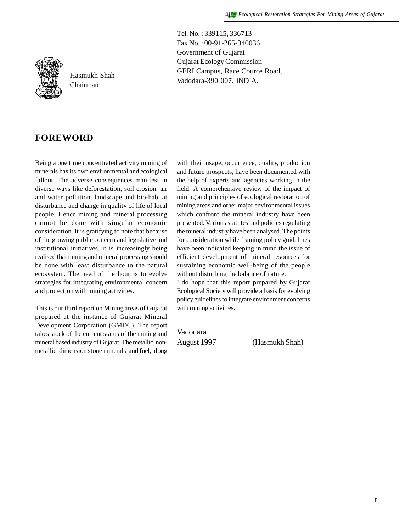Tel. No. : 339115, 336713 Fax No. : 00-91-265-340036 Government of Gujarat Gujarat Ecology Commission GERI Campus, Race Cource Road, Vadodara-390 007. INDIA.



**FOREWORD**

Hasmukh Shah Chairman

Being a one time concentrated activity mining of minerals has its own environmental and ecological fallout. The adverse consequences manifest in diverse ways like deforestation, soil erosion, air and water pollution, landscape and bio-habitat disturbance and change in quality of life of local people. Hence mining and mineral processing cannot be done with singular economic consideration. It is gratifying to note that because of the growing public concern and legislative and institutional initiatives, it is increasingly being realised that mining and mineral processing should be done with least disturbance to the natural ecosystem. The need of the hour is to evolve strategies for integrating environmental concern and protection with mining activities.

This is our third report on Mining areas of Gujarat prepared at the instance of Gujarat Mineral Development Corporation (GMDC). The report takes stock of the current status of the mining and mineral based industry of Gujarat. The metallic, nonmetallic, dimension stone minerals and fuel, along with their usage, occurrence, quality, production and future prospects, have been documented with the help of experts and agencies working in the field. A comprehensive review of the impact of mining and principles of ecological restoration of mining areas and other major environmental issues which confront the mineral industry have been presented. Various statutes and policies regulating the mineral industry have been analysed. The points for consideration while framing policy guidelines have been indicated keeping in mind the issue of efficient development of mineral resources for sustaining economic well-being of the people without disturbing the balance of nature.

I do hope that this report prepared by Gujarat Ecological Society will provide a basis for evolving policy guidelines to integrate environment concerns with mining activities.

Vadodara

August 1997 (Hasmukh Shah)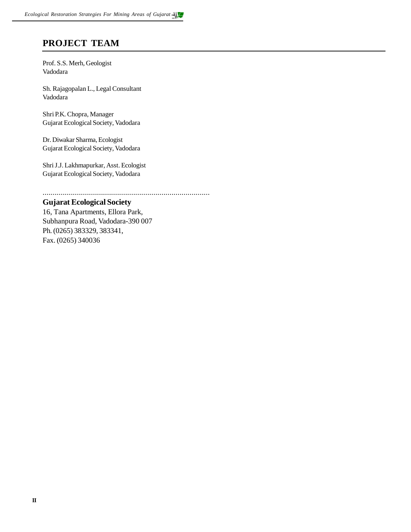#### **PROJECT TEAM**

Prof. S.S. Merh, Geologist Vadodara

Sh. Rajagopalan L., Legal Consultant Vadodara

Shri P.K. Chopra, Manager Gujarat Ecological Society, Vadodara

Dr. Diwakar Sharma, Ecologist Gujarat Ecological Society, Vadodara

Shri J.J. Lakhmapurkar, Asst. Ecologist Gujarat Ecological Society, Vadodara

...................................................................................

#### **Gujarat Ecological Society**

16, Tana Apartments, Ellora Park, Subhanpura Road, Vadodara-390 007 Ph. (0265) 383329, 383341, Fax. (0265) 340036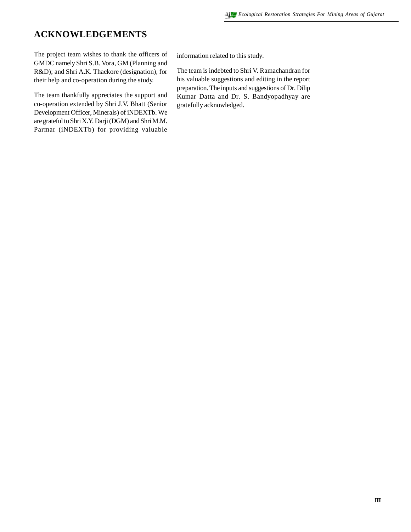#### **ACKNOWLEDGEMENTS**

The project team wishes to thank the officers of GMDC namely Shri S.B. Vora, GM (Planning and R&D); and Shri A.K. Thackore (designation), for their help and co-operation during the study.

The team thankfully appreciates the support and co-operation extended by Shri J.V. Bhatt (Senior Development Officer, Minerals) of iNDEXTb. We are grateful to Shri X.Y. Darji (DGM) and Shri M.M. Parmar (iNDEXTb) for providing valuable

information related to this study.

The team is indebted to Shri V. Ramachandran for his valuable suggestions and editing in the report preparation. The inputs and suggestions of Dr. Dilip Kumar Datta and Dr. S. Bandyopadhyay are gratefully acknowledged.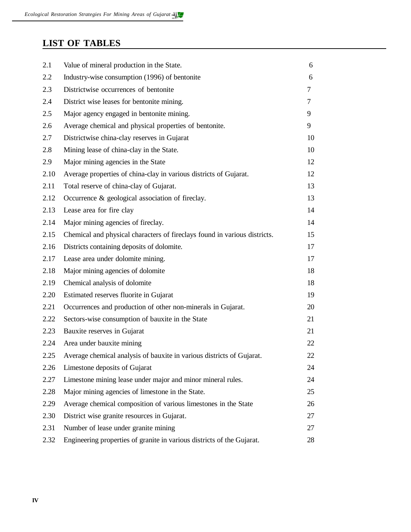### **LIST OF TABLES**

| 2.1  | Value of mineral production in the State.                                 | 6  |
|------|---------------------------------------------------------------------------|----|
| 2.2  | Industry-wise consumption (1996) of bentonite                             | 6  |
| 2.3  | Districtwise occurrences of bentonite                                     | 7  |
| 2.4  | District wise leases for bentonite mining.                                | 7  |
| 2.5  | Major agency engaged in bentonite mining.                                 | 9  |
| 2.6  | Average chemical and physical properties of bentonite.                    | 9  |
| 2.7  | Districtwise china-clay reserves in Gujarat                               | 10 |
| 2.8  | Mining lease of china-clay in the State.                                  | 10 |
| 2.9  | Major mining agencies in the State                                        | 12 |
| 2.10 | Average properties of china-clay in various districts of Gujarat.         | 12 |
| 2.11 | Total reserve of china-clay of Gujarat.                                   | 13 |
| 2.12 | Occurrence & geological association of fireclay.                          | 13 |
| 2.13 | Lease area for fire clay                                                  | 14 |
| 2.14 | Major mining agencies of fireclay.                                        | 14 |
| 2.15 | Chemical and physical characters of fireclays found in various districts. | 15 |
| 2.16 | Districts containing deposits of dolomite.                                | 17 |
| 2.17 | Lease area under dolomite mining.                                         | 17 |
| 2.18 | Major mining agencies of dolomite                                         | 18 |
| 2.19 | Chemical analysis of dolomite                                             | 18 |
| 2.20 | Estimated reserves fluorite in Gujarat                                    | 19 |
| 2.21 | Occurrences and production of other non-minerals in Gujarat.              | 20 |
| 2.22 | Sectors-wise consumption of bauxite in the State                          | 21 |
| 2.23 | Bauxite reserves in Gujarat                                               | 21 |
| 2.24 | Area under bauxite mining                                                 | 22 |
| 2.25 | Average chemical analysis of bauxite in various districts of Gujarat.     | 22 |
| 2.26 | Limestone deposits of Gujarat                                             | 24 |
| 2.27 | Limestone mining lease under major and minor mineral rules.               | 24 |
| 2.28 | Major mining agencies of limestone in the State.                          | 25 |
| 2.29 | Average chemical composition of various limestones in the State           | 26 |
| 2.30 | District wise granite resources in Gujarat.                               | 27 |
| 2.31 | Number of lease under granite mining                                      | 27 |
| 2.32 | Engineering properties of granite in various districts of the Gujarat.    | 28 |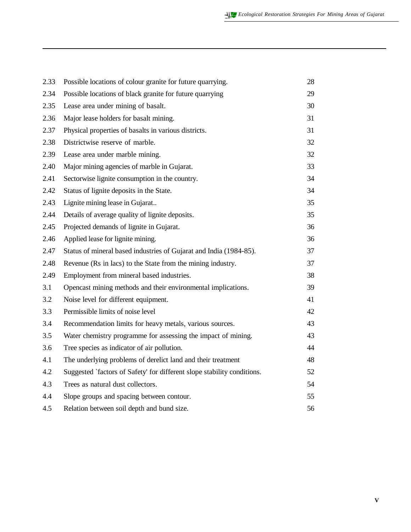| 2.33 | Possible locations of colour granite for future quarrying.              | 28 |
|------|-------------------------------------------------------------------------|----|
| 2.34 | Possible locations of black granite for future quarrying                | 29 |
| 2.35 | Lease area under mining of basalt.                                      | 30 |
| 2.36 | Major lease holders for basalt mining.                                  | 31 |
| 2.37 | Physical properties of basalts in various districts.                    | 31 |
| 2.38 | Districtwise reserve of marble.                                         | 32 |
| 2.39 | Lease area under marble mining.                                         | 32 |
| 2.40 | Major mining agencies of marble in Gujarat.                             | 33 |
| 2.41 | Sectorwise lignite consumption in the country.                          | 34 |
| 2.42 | Status of lignite deposits in the State.                                | 34 |
| 2.43 | Lignite mining lease in Gujarat                                         | 35 |
| 2.44 | Details of average quality of lignite deposits.                         | 35 |
| 2.45 | Projected demands of lignite in Gujarat.                                | 36 |
| 2.46 | Applied lease for lignite mining.                                       | 36 |
| 2.47 | Status of mineral based industries of Gujarat and India (1984-85).      | 37 |
| 2.48 | Revenue (Rs in lacs) to the State from the mining industry.             | 37 |
| 2.49 | Employment from mineral based industries.                               | 38 |
| 3.1  | Opencast mining methods and their environmental implications.           | 39 |
| 3.2  | Noise level for different equipment.                                    | 41 |
| 3.3  | Permissible limits of noise level                                       | 42 |
| 3.4  | Recommendation limits for heavy metals, various sources.                | 43 |
| 3.5  | Water chemistry programme for assessing the impact of mining.           | 43 |
| 3.6  | Tree species as indicator of air pollution.                             | 44 |
| 4.1  | The underlying problems of derelict land and their treatment            | 48 |
| 4.2  | Suggested `factors of Safety' for different slope stability conditions. | 52 |
| 4.3  | Trees as natural dust collectors.                                       | 54 |
| 4.4  | Slope groups and spacing between contour.                               | 55 |
| 4.5  | Relation between soil depth and bund size.                              | 56 |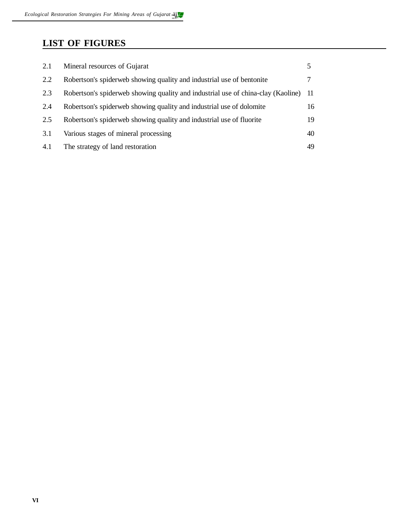# **LIST OF FIGURES**

| 2.1 | Mineral resources of Gujarat                                                     |      |
|-----|----------------------------------------------------------------------------------|------|
| 2.2 | Robertson's spiderweb showing quality and industrial use of bentonite            |      |
| 2.3 | Robertson's spiderweb showing quality and industrial use of china-clay (Kaoline) | - 11 |
| 2.4 | Robertson's spiderweb showing quality and industrial use of dolomite             | 16   |
| 2.5 | Robertson's spiderweb showing quality and industrial use of fluorite             | 19   |
| 3.1 | Various stages of mineral processing                                             | 40   |
| 4.1 | The strategy of land restoration                                                 | 49   |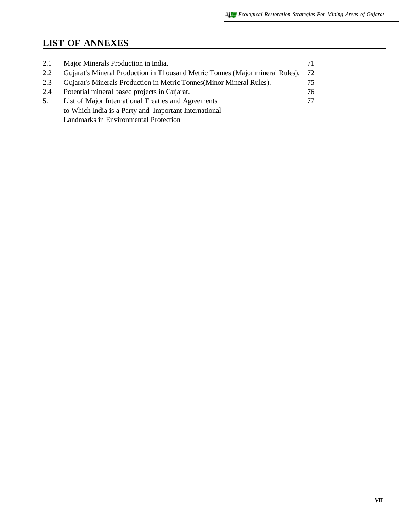### **LIST OF ANNEXES**

| 2.1 | Major Minerals Production in India.                                           | 71 |
|-----|-------------------------------------------------------------------------------|----|
| 2.2 | Gujarat's Mineral Production in Thousand Metric Tonnes (Major mineral Rules). | 72 |
| 2.3 | Gujarat's Minerals Production in Metric Tonnes (Minor Mineral Rules).         | 75 |
| 2.4 | Potential mineral based projects in Gujarat.                                  | 76 |
| 5.1 | List of Major International Treaties and Agreements                           | 77 |
|     | to Which India is a Party and Important International                         |    |
|     | Landmarks in Environmental Protection                                         |    |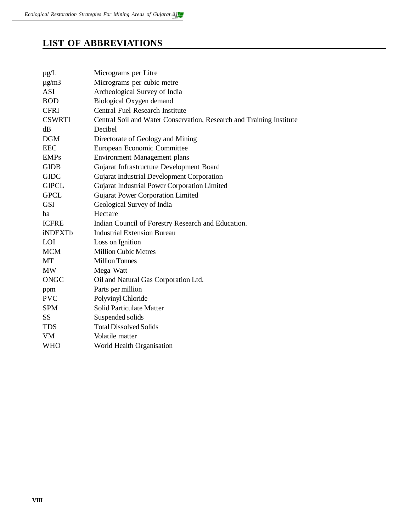### **LIST OF ABBREVIATIONS**

| $\mu g/L$      | Micrograms per Litre                                                 |
|----------------|----------------------------------------------------------------------|
| $\mu$ g/m $3$  | Micrograms per cubic metre                                           |
| <b>ASI</b>     | Archeological Survey of India                                        |
| <b>BOD</b>     | Biological Oxygen demand                                             |
| <b>CFRI</b>    | Central Fuel Research Institute                                      |
| <b>CSWRTI</b>  | Central Soil and Water Conservation, Research and Training Institute |
| dB             | Decibel                                                              |
| <b>DGM</b>     | Directorate of Geology and Mining                                    |
| <b>EEC</b>     | European Economic Committee                                          |
| <b>EMPs</b>    | <b>Environment Management plans</b>                                  |
| <b>GIDB</b>    | Gujarat Infrastructure Development Board                             |
| <b>GIDC</b>    | Gujarat Industrial Development Corporation                           |
| <b>GIPCL</b>   | Gujarat Industrial Power Corporation Limited                         |
| <b>GPCL</b>    | <b>Gujarat Power Corporation Limited</b>                             |
| <b>GSI</b>     | Geological Survey of India                                           |
| ha             | Hectare                                                              |
| <b>ICFRE</b>   | Indian Council of Forestry Research and Education.                   |
| <i>iNDEXTb</i> | <b>Industrial Extension Bureau</b>                                   |
| LOI            | Loss on Ignition                                                     |
| <b>MCM</b>     | <b>Million Cubic Metres</b>                                          |
| МT             | <b>Million Tonnes</b>                                                |
| <b>MW</b>      | Mega Watt                                                            |
| <b>ONGC</b>    | Oil and Natural Gas Corporation Ltd.                                 |
| ppm            | Parts per million                                                    |
| <b>PVC</b>     | Polyvinyl Chloride                                                   |
| <b>SPM</b>     | Solid Particulate Matter                                             |
| SS             | Suspended solids                                                     |
| <b>TDS</b>     | <b>Total Dissolved Solids</b>                                        |
| VM             | Volatile matter                                                      |
| <b>WHO</b>     | World Health Organisation                                            |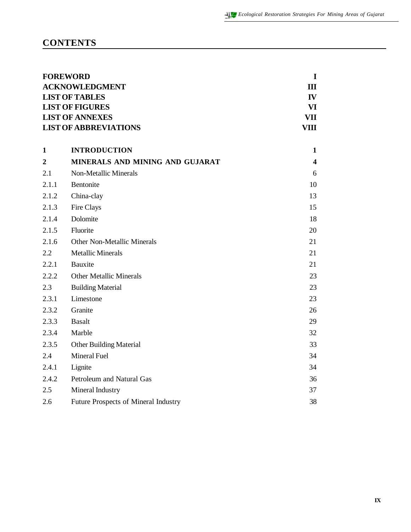# **CONTENTS**

| <b>FOREWORD</b><br><b>ACKNOWLEDGMENT</b><br><b>LIST OF TABLES</b><br><b>LIST OF FIGURES</b><br><b>LIST OF ANNEXES</b><br><b>LIST OF ABBREVIATIONS</b> |                                      | $\mathbf I$             |
|-------------------------------------------------------------------------------------------------------------------------------------------------------|--------------------------------------|-------------------------|
|                                                                                                                                                       |                                      | Ш                       |
|                                                                                                                                                       |                                      | $\mathbf{IV}$           |
|                                                                                                                                                       |                                      | VI                      |
|                                                                                                                                                       |                                      | VII                     |
|                                                                                                                                                       |                                      | VIII                    |
| 1                                                                                                                                                     | <b>INTRODUCTION</b>                  | 1                       |
| $\boldsymbol{2}$                                                                                                                                      | MINERALS AND MINING AND GUJARAT      | $\overline{\mathbf{4}}$ |
| 2.1                                                                                                                                                   | <b>Non-Metallic Minerals</b>         | 6                       |
| 2.1.1                                                                                                                                                 | Bentonite                            | 10                      |
| 2.1.2                                                                                                                                                 | China-clay                           | 13                      |
| 2.1.3                                                                                                                                                 | Fire Clays                           | 15                      |
| 2.1.4                                                                                                                                                 | Dolomite                             | 18                      |
| 2.1.5                                                                                                                                                 | Fluorite                             | 20                      |
| 2.1.6                                                                                                                                                 | Other Non-Metallic Minerals          | 21                      |
| 2.2                                                                                                                                                   | <b>Metallic Minerals</b>             | 21                      |
| 2.2.1                                                                                                                                                 | Bauxite                              | 21                      |
| 2.2.2                                                                                                                                                 | <b>Other Metallic Minerals</b>       | 23                      |
| 2.3                                                                                                                                                   | <b>Building Material</b>             | 23                      |
| 2.3.1                                                                                                                                                 | Limestone                            | 23                      |
| 2.3.2                                                                                                                                                 | Granite                              | 26                      |
| 2.3.3                                                                                                                                                 | <b>Basalt</b>                        | 29                      |
| 2.3.4                                                                                                                                                 | Marble                               | 32                      |
| 2.3.5                                                                                                                                                 | <b>Other Building Material</b>       | 33                      |
| 2.4                                                                                                                                                   | <b>Mineral Fuel</b>                  | 34                      |
| 2.4.1                                                                                                                                                 | Lignite                              | 34                      |
| 2.4.2                                                                                                                                                 | Petroleum and Natural Gas            | 36                      |
| 2.5                                                                                                                                                   | Mineral Industry                     | 37                      |
| 2.6                                                                                                                                                   | Future Prospects of Mineral Industry | 38                      |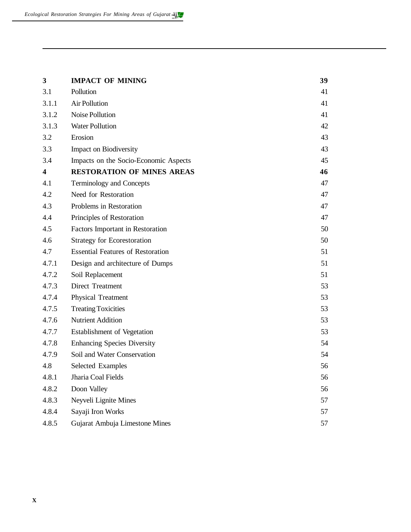| 3     | <b>IMPACT OF MINING</b>                  | 39 |
|-------|------------------------------------------|----|
| 3.1   | Pollution                                | 41 |
| 3.1.1 | <b>Air Pollution</b>                     | 41 |
| 3.1.2 | Noise Pollution                          | 41 |
| 3.1.3 | <b>Water Pollution</b>                   | 42 |
| 3.2   | Erosion                                  | 43 |
| 3.3   | Impact on Biodiversity                   | 43 |
| 3.4   | Impacts on the Socio-Economic Aspects    | 45 |
| 4     | <b>RESTORATION OF MINES AREAS</b>        | 46 |
| 4.1   | Terminology and Concepts                 | 47 |
| 4.2   | Need for Restoration                     | 47 |
| 4.3   | Problems in Restoration                  | 47 |
| 4.4   | Principles of Restoration                | 47 |
| 4.5   | Factors Important in Restoration         | 50 |
| 4.6   | <b>Strategy for Ecorestoration</b>       | 50 |
| 4.7   | <b>Essential Features of Restoration</b> | 51 |
| 4.7.1 | Design and architecture of Dumps         | 51 |
| 4.7.2 | Soil Replacement                         | 51 |
| 4.7.3 | Direct Treatment                         | 53 |
| 4.7.4 | Physical Treatment                       | 53 |
| 4.7.5 | <b>Treating Toxicities</b>               | 53 |
| 4.7.6 | <b>Nutrient Addition</b>                 | 53 |
| 4.7.7 | <b>Establishment of Vegetation</b>       | 53 |
| 4.7.8 | <b>Enhancing Species Diversity</b>       | 54 |
| 4.7.9 | Soil and Water Conservation              | 54 |
| 4.8   | <b>Selected Examples</b>                 | 56 |
| 4.8.1 | Jharia Coal Fields                       | 56 |
| 4.8.2 | Doon Valley                              | 56 |
| 4.8.3 | Neyveli Lignite Mines                    | 57 |
| 4.8.4 | Sayaji Iron Works                        | 57 |
| 4.8.5 | Gujarat Ambuja Limestone Mines           | 57 |